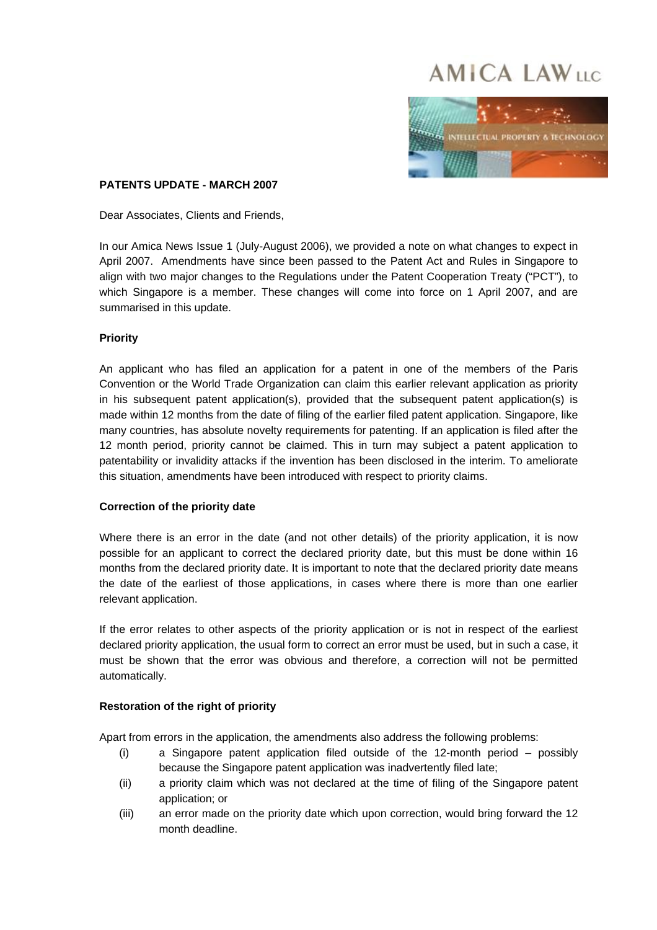# **AMICA LAWLIC**



# **PATENTS UPDATE - MARCH 2007**

Dear Associates, Clients and Friends,

In our Amica News Issue 1 (July-August 2006), we provided a note on what changes to expect in April 2007. Amendments have since been passed to the Patent Act and Rules in Singapore to align with two major changes to the Regulations under the Patent Cooperation Treaty ("PCT"), to which Singapore is a member. These changes will come into force on 1 April 2007, and are summarised in this update.

# **Priority**

An applicant who has filed an application for a patent in one of the members of the Paris Convention or the World Trade Organization can claim this earlier relevant application as priority in his subsequent patent application(s), provided that the subsequent patent application(s) is made within 12 months from the date of filing of the earlier filed patent application. Singapore, like many countries, has absolute novelty requirements for patenting. If an application is filed after the 12 month period, priority cannot be claimed. This in turn may subject a patent application to patentability or invalidity attacks if the invention has been disclosed in the interim. To ameliorate this situation, amendments have been introduced with respect to priority claims.

#### **Correction of the priority date**

Where there is an error in the date (and not other details) of the priority application, it is now possible for an applicant to correct the declared priority date, but this must be done within 16 months from the declared priority date. It is important to note that the declared priority date means the date of the earliest of those applications, in cases where there is more than one earlier relevant application.

If the error relates to other aspects of the priority application or is not in respect of the earliest declared priority application, the usual form to correct an error must be used, but in such a case, it must be shown that the error was obvious and therefore, a correction will not be permitted automatically.

#### **Restoration of the right of priority**

Apart from errors in the application, the amendments also address the following problems:

- (i) a Singapore patent application filed outside of the 12-month period possibly because the Singapore patent application was inadvertently filed late;
- (ii) a priority claim which was not declared at the time of filing of the Singapore patent application; or
- (iii) an error made on the priority date which upon correction, would bring forward the 12 month deadline.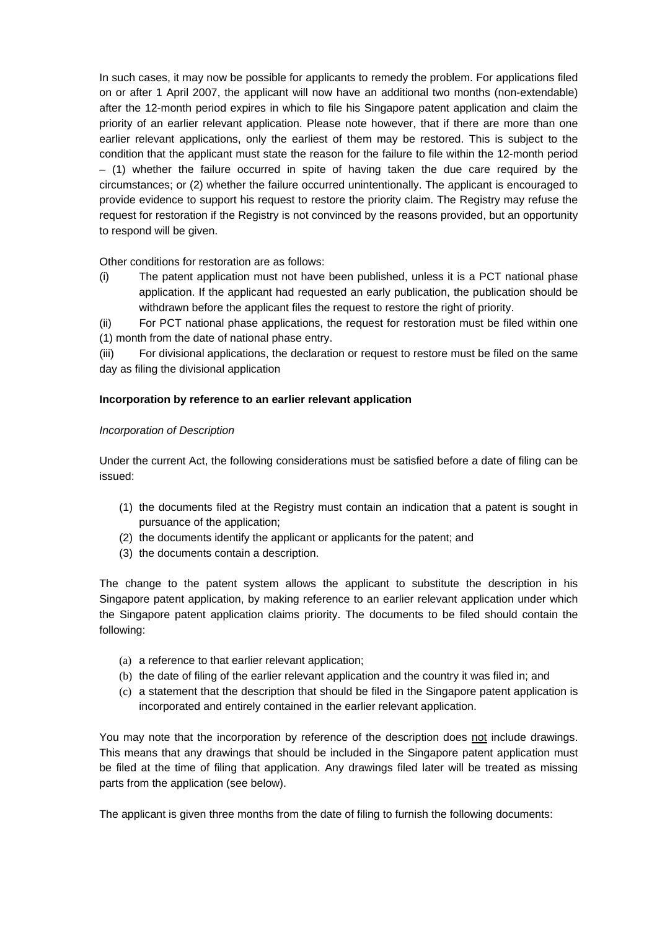In such cases, it may now be possible for applicants to remedy the problem. For applications filed on or after 1 April 2007, the applicant will now have an additional two months (non-extendable) after the 12-month period expires in which to file his Singapore patent application and claim the priority of an earlier relevant application. Please note however, that if there are more than one earlier relevant applications, only the earliest of them may be restored. This is subject to the condition that the applicant must state the reason for the failure to file within the 12-month period  $-$  (1) whether the failure occurred in spite of having taken the due care required by the circumstances; or (2) whether the failure occurred unintentionally. The applicant is encouraged to provide evidence to support his request to restore the priority claim. The Registry may refuse the request for restoration if the Registry is not convinced by the reasons provided, but an opportunity to respond will be given.

Other conditions for restoration are as follows:

(i) The patent application must not have been published, unless it is a PCT national phase application. If the applicant had requested an early publication, the publication should be withdrawn before the applicant files the request to restore the right of priority.

(ii) For PCT national phase applications, the request for restoration must be filed within one (1) month from the date of national phase entry.

(iii) For divisional applications, the declaration or request to restore must be filed on the same day as filing the divisional application

# **Incorporation by reference to an earlier relevant application**

#### *Incorporation of Description*

Under the current Act, the following considerations must be satisfied before a date of filing can be issued:

- (1) the documents filed at the Registry must contain an indication that a patent is sought in pursuance of the application;
- (2) the documents identify the applicant or applicants for the patent; and
- (3) the documents contain a description.

The change to the patent system allows the applicant to substitute the description in his Singapore patent application, by making reference to an earlier relevant application under which the Singapore patent application claims priority. The documents to be filed should contain the following:

- (a) a reference to that earlier relevant application;
- (b) the date of filing of the earlier relevant application and the country it was filed in; and
- (c) a statement that the description that should be filed in the Singapore patent application is incorporated and entirely contained in the earlier relevant application.

You may note that the incorporation by reference of the description does not include drawings. This means that any drawings that should be included in the Singapore patent application must be filed at the time of filing that application. Any drawings filed later will be treated as missing parts from the application (see below).

The applicant is given three months from the date of filing to furnish the following documents: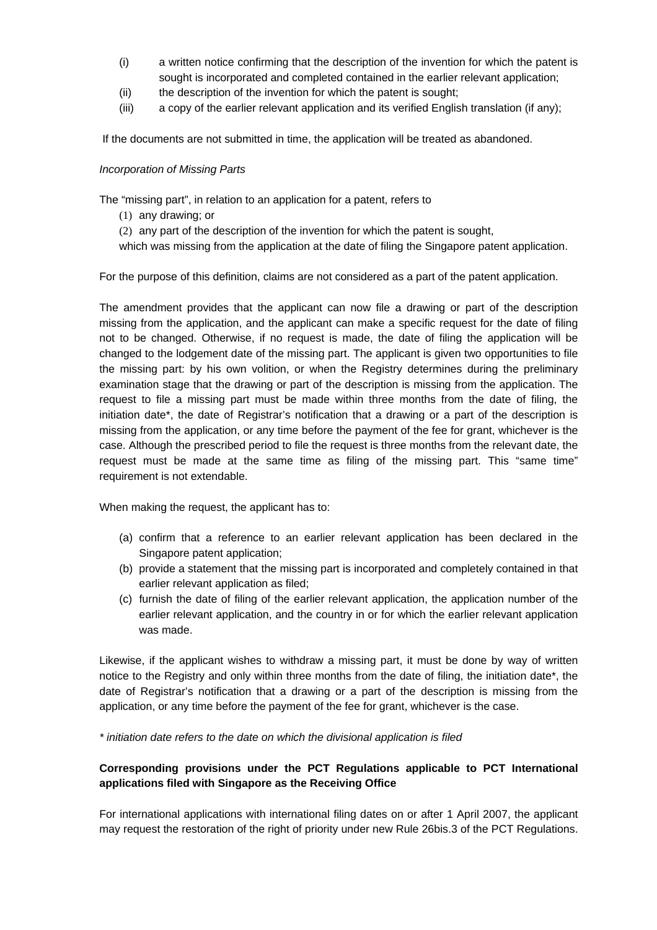- (i) a written notice confirming that the description of the invention for which the patent is sought is incorporated and completed contained in the earlier relevant application;
- (ii) the description of the invention for which the patent is sought;
- (iii) a copy of the earlier relevant application and its verified English translation (if any);

If the documents are not submitted in time, the application will be treated as abandoned.

### *Incorporation of Missing Parts*

The "missing part", in relation to an application for a patent, refers to

(1) any drawing; or

(2) any part of the description of the invention for which the patent is sought,

which was missing from the application at the date of filing the Singapore patent application.

For the purpose of this definition, claims are not considered as a part of the patent application.

The amendment provides that the applicant can now file a drawing or part of the description missing from the application, and the applicant can make a specific request for the date of filing not to be changed. Otherwise, if no request is made, the date of filing the application will be changed to the lodgement date of the missing part. The applicant is given two opportunities to file the missing part: by his own volition, or when the Registry determines during the preliminary examination stage that the drawing or part of the description is missing from the application. The request to file a missing part must be made within three months from the date of filing, the initiation date\*, the date of Registrar's notification that a drawing or a part of the description is missing from the application, or any time before the payment of the fee for grant, whichever is the case. Although the prescribed period to file the request is three months from the relevant date, the request must be made at the same time as filing of the missing part. This "same time" requirement is not extendable.

When making the request, the applicant has to:

- (a) confirm that a reference to an earlier relevant application has been declared in the Singapore patent application;
- (b) provide a statement that the missing part is incorporated and completely contained in that earlier relevant application as filed;
- (c) furnish the date of filing of the earlier relevant application, the application number of the earlier relevant application, and the country in or for which the earlier relevant application was made.

Likewise, if the applicant wishes to withdraw a missing part, it must be done by way of written notice to the Registry and only within three months from the date of filing, the initiation date\*, the date of Registrar's notification that a drawing or a part of the description is missing from the application, or any time before the payment of the fee for grant, whichever is the case.

*\* initiation date refers to the date on which the divisional application is filed* 

# **Corresponding provisions under the PCT Regulations applicable to PCT International applications filed with Singapore as the Receiving Office**

For international applications with international filing dates on or after 1 April 2007, the applicant may request the restoration of the right of priority under new Rule 26bis.3 of the PCT Regulations.